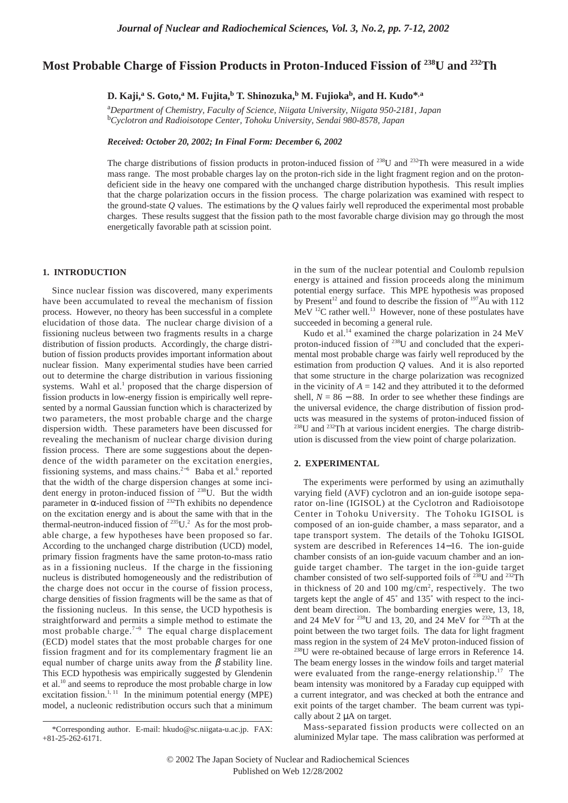# **Most Probable Charge of Fission Products in Proton-Induced Fission of 238U and 232Th**

**D. Kaji,<sup>a</sup> S. Goto,<sup>a</sup> M. Fujita,b T. Shinozuka,<sup>b</sup> M. Fujiokab, and H. Kudo\*,a**

a *Department of Chemistry, Faculty of Science, Niigata University, Niigata 950-2181, Japan*  b *Cyclotron and Radioisotope Center, Tohoku University, Sendai 980-8578, Japan*

*Received: October 20, 2002; In Final Form: December 6, 2002*

The charge distributions of fission products in proton-induced fission of <sup>238</sup>U and <sup>232</sup>Th were measured in a wide mass range. The most probable charges lay on the proton-rich side in the light fragment region and on the protondeficient side in the heavy one compared with the unchanged charge distribution hypothesis. This result implies that the charge polarization occurs in the fission process. The charge polarization was examined with respect to the ground-state *Q* values. The estimations by the *Q* values fairly well reproduced the experimental most probable charges. These results suggest that the fission path to the most favorable charge division may go through the most energetically favorable path at scission point.

# **1. INTRODUCTION**

Since nuclear fission was discovered, many experiments have been accumulated to reveal the mechanism of fission process. However, no theory has been successful in a complete elucidation of those data. The nuclear charge division of a fissioning nucleus between two fragments results in a charge distribution of fission products. Accordingly, the charge distribution of fission products provides important information about nuclear fission. Many experimental studies have been carried out to determine the charge distribution in various fissioning systems. Wahl et al.<sup>1</sup> proposed that the charge dispersion of fission products in low-energy fission is empirically well represented by a normal Gaussian function which is characterized by two parameters, the most probable charge and the charge dispersion width. These parameters have been discussed for revealing the mechanism of nuclear charge division during fission process. There are some suggestions about the dependence of the width parameter on the excitation energies, fissioning systems, and mass chains.<sup>2−6</sup> Baba et al.<sup>6</sup> reported that the width of the charge dispersion changes at some incident energy in proton-induced fission of  $^{238}U$ . But the width parameter in α-induced fission of  $232$ Th exhibits no dependence on the excitation energy and is about the same with that in the thermal-neutron-induced fission of  $^{235}U^2$ . As for the most probable charge, a few hypotheses have been proposed so far. According to the unchanged charge distribution (UCD) model, primary fission fragments have the same proton-to-mass ratio as in a fissioning nucleus. If the charge in the fissioning nucleus is distributed homogeneously and the redistribution of the charge does not occur in the course of fission process, charge densities of fission fragments will be the same as that of the fissioning nucleus. In this sense, the UCD hypothesis is straightforward and permits a simple method to estimate the most probable charge.<sup>7−9</sup> The equal charge displacement (ECD) model states that the most probable charges for one fission fragment and for its complementary fragment lie an equal number of charge units away from the  $\beta$  stability line. This ECD hypothesis was empirically suggested by Glendenin et al.10 and seems to reproduce the most probable charge in low excitation fission.<sup>1, 11</sup> In the minimum potential energy (MPE) model, a nucleonic redistribution occurs such that a minimum

in the sum of the nuclear potential and Coulomb repulsion energy is attained and fission proceeds along the minimum potential energy surface. This MPE hypothesis was proposed by Present<sup>12</sup> and found to describe the fission of  $197$ Au with 112  $MeV$ <sup>12</sup>C rather well.<sup>13</sup> However, none of these postulates have succeeded in becoming a general rule.

Kudo et al.<sup>14</sup> examined the charge polarization in 24 MeV proton-induced fission of <sup>238</sup>U and concluded that the experimental most probable charge was fairly well reproduced by the estimation from production *Q* values. And it is also reported that some structure in the charge polarization was recognized in the vicinity of  $A = 142$  and they attributed it to the deformed shell,  $N = 86 - 88$ . In order to see whether these findings are the universal evidence, the charge distribution of fission products was measured in the systems of proton-induced fission of  $^{238}$ U and  $^{232}$ Th at various incident energies. The charge distribution is discussed from the view point of charge polarization.

## **2. EXPERIMENTAL**

The experiments were performed by using an azimuthally varying field (AVF) cyclotron and an ion-guide isotope separator on-line (IGISOL) at the Cyclotron and Radioisotope Center in Tohoku University. The Tohoku IGISOL is composed of an ion-guide chamber, a mass separator, and a tape transport system. The details of the Tohoku IGISOL system are described in References 14−16. The ion-guide chamber consists of an ion-guide vacuum chamber and an ionguide target chamber. The target in the ion-guide target chamber consisted of two self-supported foils of  $^{238}$ U and  $^{232}$ Th in thickness of 20 and 100 mg/cm<sup>2</sup>, respectively. The two targets kept the angle of 45˚ and 135˚ with respect to the incident beam direction. The bombarding energies were, 13, 18, and 24 MeV for 238U and 13, 20, and 24 MeV for 232Th at the point between the two target foils. The data for light fragment mass region in the system of 24 MeV proton-induced fission of 238U were re-obtained because of large errors in Reference 14. The beam energy losses in the window foils and target material were evaluated from the range-energy relationship.<sup>17</sup> The beam intensity was monitored by a Faraday cup equipped with a current integrator, and was checked at both the entrance and exit points of the target chamber. The beam current was typically about 2 µA on target.

Mass-separated fission products were collected on an aluminized Mylar tape. The mass calibration was performed at

<sup>\*</sup>Corresponding author. E-mail: hkudo@sc.niigata-u.ac.jp. FAX: +81-25-262-6171.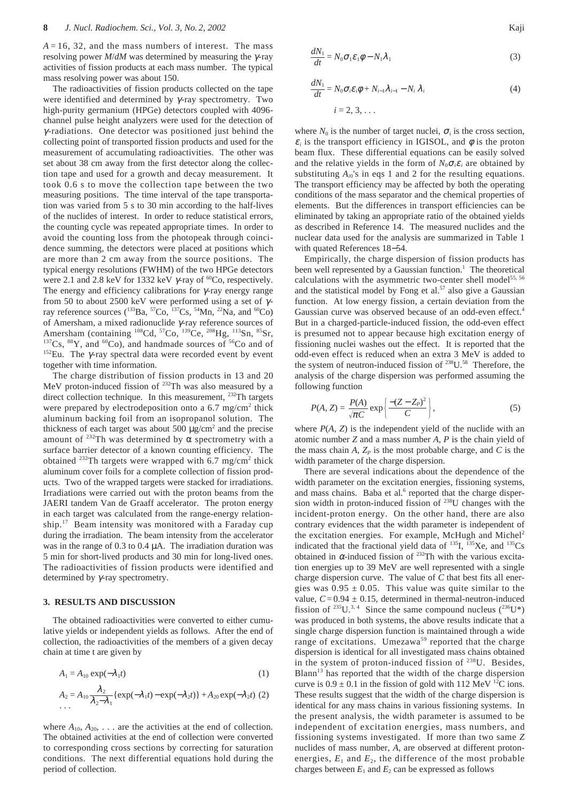$A = 16$ , 32, and the mass numbers of interest. The mass resolving power *M*/*dM* was determined by measuring the γ-ray activities of fission products at each mass number. The typical mass resolving power was about 150.

The radioactivities of fission products collected on the tape were identified and determined by  $\gamma$ -ray spectrometry. Two high-purity germanium (HPGe) detectors coupled with 4096 channel pulse height analyzers were used for the detection of γ -radiations. One detector was positioned just behind the collecting point of transported fission products and used for the measurement of accumulating radioactivities. The other was set about 38 cm away from the first detector along the collection tape and used for a growth and decay measurement. It took 0.6 s to move the collection tape between the two measuring positions. The time interval of the tape transportation was varied from 5 s to 30 min according to the half-lives of the nuclides of interest. In order to reduce statistical errors, the counting cycle was repeated appropriate times. In order to avoid the counting loss from the photopeak through coincidence summing, the detectors were placed at positions which are more than 2 cm away from the source positions. The typical energy resolutions (FWHM) of the two HPGe detectors were 2.1 and 2.8 keV for 1332 keV  $\gamma$ -ray of <sup>60</sup>Co, respectively. The energy and efficiency calibrations for  $\gamma$ -ray energy range from 50 to about 2500 keV were performed using a set of  $\gamma$ ray reference sources ( $^{133}Ba$ ,  $^{57}Co$ ,  $^{137}Cs$ ,  $^{54}Mn$ ,  $^{22}Na$ , and  $^{60}Co$ ) of Amersham, a mixed radionuclide γ-ray reference sources of Amersham (containing <sup>108</sup>Cd, <sup>57</sup>Co, <sup>139</sup>Ce, <sup>208</sup>Hg, <sup>113</sup>Sn, <sup>85</sup>Sr,  $137Cs$ ,  $88Y$ , and  $60Co$ ), and handmade sources of  $56Co$  and of  $152$ Eu. The  $\gamma$ -ray spectral data were recorded event by event together with time information.

The charge distribution of fission products in 13 and 20 MeV proton-induced fission of <sup>232</sup>Th was also measured by a direct collection technique. In this measurement, <sup>232</sup>Th targets were prepared by electrodeposition onto a  $6.7 \text{ mg/cm}^2$  thick aluminum backing foil from an isopropanol solution. The thickness of each target was about 500  $\mu$ g/cm<sup>2</sup> and the precise amount of  $^{232}$ Th was determined by  $\alpha$  spectrometry with a surface barrier detector of a known counting efficiency. The obtained  $^{232}$ Th targets were wrapped with 6.7 mg/cm<sup>2</sup> thick aluminum cover foils for a complete collection of fission products. Two of the wrapped targets were stacked for irradiations. Irradiations were carried out with the proton beams from the JAERI tandem Van de Graaff accelerator. The proton energy in each target was calculated from the range-energy relationship.<sup>17</sup> Beam intensity was monitored with a Faraday cup during the irradiation. The beam intensity from the accelerator was in the range of  $0.3$  to  $0.4 \mu A$ . The irradiation duration was 5 min for short-lived products and 30 min for long-lived ones. The radioactivities of fission products were identified and determined by  $\gamma$ -ray spectrometry.

#### **3. RESULTS AND DISCUSSION**

The obtained radioactivities were converted to either cumulative yields or independent yields as follows. After the end of collection, the radioactivities of the members of a given decay chain at time t are given by

$$
A_1 = A_{10} \exp(-\lambda_1 t) \tag{1}
$$

$$
A_2 = A_{10} \frac{\lambda_2}{\lambda_2 - \lambda_1} \{ \exp(-\lambda_1 t) - \exp(-\lambda_2 t) \} + A_{20} \exp(-\lambda_2 t) \tag{2}
$$

where  $A_{10}$ ,  $A_{20}$ , ... are the activities at the end of collection. The obtained activities at the end of collection were converted to corresponding cross sections by correcting for saturation conditions. The next differential equations hold during the period of collection.

$$
\frac{dN_1}{dt} = N_0 \sigma_1 \varepsilon_1 \phi - N_1 \lambda_1 \tag{3}
$$

$$
\frac{dN_1}{dt} = N_0 \sigma_i \varepsilon_i \phi + N_{i-1} \lambda_{i-1} - N_i \lambda_i
$$
\n
$$
i = 2, 3, \dots
$$
\n(4)

where  $N_0$  is the number of target nuclei,  $\sigma_i$  is the cross section,  $\varepsilon_i$  is the transport efficiency in IGISOL, and  $\phi$  is the proton beam flux. These differential equations can be easily solved and the relative yields in the form of  $N_0 \sigma_i \varepsilon_i$  are obtained by substituting  $A_{i0}$ 's in eqs 1 and 2 for the resulting equations. The transport efficiency may be affected by both the operating conditions of the mass separator and the chemical properties of elements. But the differences in transport efficiencies can be eliminated by taking an appropriate ratio of the obtained yields as described in Reference 14. The measured nuclides and the nuclear data used for the analysis are summarized in Table 1 with quated References 18−54.

Empirically, the charge dispersion of fission products has been well represented by a Gaussian function. $<sup>1</sup>$  The theoretical</sup> calculations with the asymmetric two-center shell model<sup>55, 56</sup> and the statistical model by Fong et al. $57$  also give a Gaussian function. At low energy fission, a certain deviation from the Gaussian curve was observed because of an odd-even effect.<sup>4</sup> But in a charged-particle-induced fission, the odd-even effect is presumed not to appear because high excitation energy of fissioning nuclei washes out the effect. It is reported that the odd-even effect is reduced when an extra 3 MeV is added to the system of neutron-induced fission of  $238$ U.<sup>58</sup> Therefore, the analysis of the charge dispersion was performed assuming the following function

$$
P(A, Z) = \frac{P(A)}{\sqrt{\pi C}} \exp\left\{\frac{-(Z - Z_p)^2}{C}\right\},\tag{5}
$$

where  $P(A, Z)$  is the independent yield of the nuclide with an atomic number *Z* and a mass number *A*, *P* is the chain yield of the mass chain  $A$ ,  $Z_p$  is the most probable charge, and  $C$  is the width parameter of the charge dispersion.

There are several indications about the dependence of the width parameter on the excitation energies, fissioning systems, and mass chains. Baba et al.<sup>6</sup> reported that the charge dispersion width in proton-induced fission of 238U changes with the incident-proton energy. On the other hand, there are also contrary evidences that the width parameter is independent of the excitation energies. For example, McHugh and Michel<sup>2</sup> indicated that the fractional yield data of <sup>135</sup>I, <sup>135</sup>Xe, and <sup>135</sup>Cs obtained in  $\alpha$ -induced fission of <sup>232</sup>Th with the various excitation energies up to 39 MeV are well represented with a single charge dispersion curve. The value of *C* that best fits all energies was  $0.95 \pm 0.05$ . This value was quite similar to the value,  $C = 0.94 \pm 0.15$ , determined in thermal-neutron-induced fission of <sup>235</sup>U.<sup>3, 4</sup> Since the same compound nucleus  $(^{236}U^*)$ was produced in both systems, the above results indicate that a single charge dispersion function is maintained through a wide range of excitations. Umezawa<sup>59</sup> reported that the charge dispersion is identical for all investigated mass chains obtained in the system of proton-induced fission of 238U. Besides, Blann<sup>13</sup> has reported that the width of the charge dispersion curve is  $0.9 \pm 0.1$  in the fission of gold with 112 MeV <sup>12</sup>C ions. These results suggest that the width of the charge dispersion is identical for any mass chains in various fissioning systems. In the present analysis, the width parameter is assumed to be independent of excitation energies, mass numbers, and fissioning systems investigated. If more than two same *Z* nuclides of mass number, *A*, are observed at different protonenergies,  $E_1$  and  $E_2$ , the difference of the most probable charges between  $E_1$  and  $E_2$  can be expressed as follows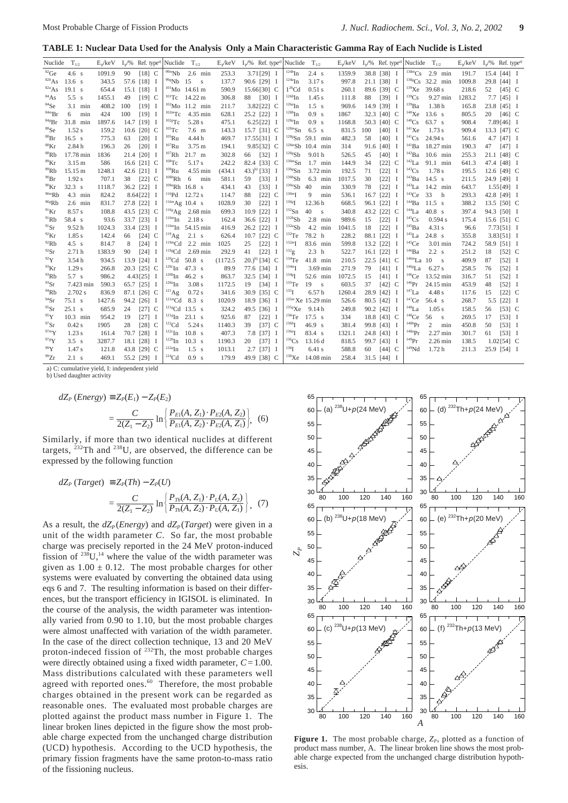**TABLE 1: Nuclear Data Used for the Analysis Only a Main Characteristic Gamma Ray of Each Nuclide is Listed**

| Nuclide $T_{1/2}$  |                  |        | $E_{\nu}/keV$ $I_{\nu}/\%$ Ref. type <sup>a)</sup> Nuclide |                    |                            | $T_{1/2}$              | $E_{\nu}$ /keV |    | $I_{\nu}/\%$ Ref. type <sup>a)</sup> Nuclide $T_{1/2}$ |                       |                     |     | $E_{\nu}$ /keV |      | $I_{\nu}/\%$ Ref. type <sup>a)</sup> | Nuclide               | $T_{1/2}$               | E,/keV |    | $I_{\gamma}/\%$ Ref. type <sup>a)</sup> |  |
|--------------------|------------------|--------|------------------------------------------------------------|--------------------|----------------------------|------------------------|----------------|----|--------------------------------------------------------|-----------------------|---------------------|-----|----------------|------|--------------------------------------|-----------------------|-------------------------|--------|----|-----------------------------------------|--|
| ${}^{82}$ Ge       | 4.6 <sub>s</sub> | 1091.9 | 90                                                         | $[18]$ C           | $^{99m}\mathrm{Nb}$        | $2.6$ min              | 253.3          |    | $3.71[29]$ I                                           | $124b$ In             | 2.4 s               |     | 1359.9         |      | 38.8 [38] I                          | $138m$ C <sub>S</sub> | $2.9$ min               | 191.7  |    | 15.4 [44] I                             |  |
| $82b$ As           | 13.6 s           | 343.5  | 57.6 [18]                                                  | Ι                  | $998$ Nb                   | 15<br>s                | 137.7          |    | 90.6 [29] I                                            | $^{124a}$ In          | 3.17 s              |     | 997.8          |      | 21.1 [38] I                          | $138g$ Cs             | 32.2 min                | 1009.8 |    | 29.8 [44] I                             |  |
| $82a$ As           | $19.1$ s         | 654.4  | 15.1 [18]                                                  | <b>I</b>           |                            | $^{101}$ Mo 14.61 m    | 590.9          |    | 15.66[30] C                                            | $1^{26}$ Cd           | 0.51 s              |     | 260.1          |      | 89.6 [39] C                          | $139$ Xe              | 39.68 s                 | 218.6  | 52 | $[45]$ C                                |  |
| ${}^{84}As$        | 5.5 s            | 1455.1 | 49                                                         | $[19]$ C           | $101$ Tc                   | 14.22 m                | 306.8          | 88 | $\begin{bmatrix} 30 \end{bmatrix}$ I                   | $126b$ In             | 1.45s               |     | 111.8          | 88   | $\begin{bmatrix} 39 \end{bmatrix}$ I | $139$ Cs              | 9.27 min                | 1283.2 |    | $7.7$ [45] I                            |  |
| ${}^{84}Se$        | 3.1<br>min       | 408.2  | 100                                                        | $[19]$ I           |                            | $102$ Mo 11.2 min      | 211.7          |    | $3.82$ [22] C                                          | $^{126a}$ In          | $1.5$ s             |     | 969.6          |      | 14.9 [39] I                          | $^{139}Ba$            | 1.38h                   | 165.8  |    | 23.8 [45] I                             |  |
| 84mBr              | 6<br>min         | 424    | 100                                                        | [19]<br>- 1        | $^{102m}\mathrm{Tc}$       | 4.35 min               | 628.1          |    | 25.2 [22] I                                            | $128b$ In             | 0.9 <sub>s</sub>    |     | 1867           |      | 32.3 [40] C                          | 140Xe                 | 13.6 s                  | 805.5  | 20 | $[46]$ C                                |  |
| 84gBr              | 31.8 min         | 1897.6 | 14.7 [19]                                                  | - 1                | $^{102}$ Tc                | 5.28 s                 | 475.1          |    | $6.25[22]$ I                                           | $^{128a}$ In          | 0.9 <sub>s</sub>    |     | 1168.8         |      | 50.3 [40] C                          | $140$ Cs              | 63.7 s                  | 908.4  |    | $7.89[46]$ I                            |  |
| ${}^{88}Se$        | 1.52 s           | 159.2  | 10.6 $[20]$ C                                              |                    | $105$ Tc                   | $7.6$ m                | 143.3          |    | 15.7 [31] C                                            | $^{128m}\mathrm{Sn}$  | $6.5$ s             |     | 831.5          | 100  | $[40]$ I                             | $141$ Xe              | $1.73$ s                | 909.4  |    | 13.3 [47] C                             |  |
| ${}^{88}\text{Br}$ | 16.5 s           | 775.3  | 63                                                         | [20]<br>- 1        | $105$ Ru                   | 4.44 h                 | 469.7          |    | $17.55[31]$ I                                          | $^{128}Sn$            | 59.1 min            |     | 482.3          | 58   | [40]                                 | $141$ Cs              | 24.94 s                 | 561.6  |    | 4.7 $[47]$ I                            |  |
| ${}^{88}$ Kr       | 2.84 h           | 196.3  | 26                                                         | $[20]$<br>П        | $^{107}\mathrm{Ru}$        | 3.75 m                 | 194.1          |    | 9.85[32] C                                             | $^{128m}\mathrm{Sb}$  | 10.4 min            |     | 314            |      | 91.6 [40]                            | $\rm ^{141}Ba$        | 18.27 min               | 190.3  | 47 | $[47]$ I                                |  |
| ${}^{88}Rb$        | 17.78 min        | 1836   | 21.4 [20]                                                  | - 1                | $107$ Rh                   | $21.7 \text{ m}$       | 302.8          |    | 66 [32] I                                              | 128gSb                | 9.01 <sub>h</sub>   |     | 526.5          | 45   | $[40]$ I                             | 142Ba                 | $10.6$ min              | 255.3  |    | 21.1 [48] C                             |  |
| ${}^{89}$ Kr       | 3.15 m           | 586    | 16.6 [21] C                                                |                    | $^{108}\mathrm{Tc}$        | 5.17 s                 | 242.2          |    | 82.4 [33] C                                            | $^{130m}\mathrm{Sn}$  | $1.7$ min           |     | 144.9          | 34   | $[22]$<br>C                          | $142$ La              | 91.1 min                | 641.3  |    | 47.4 [48] I                             |  |
| ${}^{89}Rb$        | 15.15 m          | 1248.1 | 42.6 [21]                                                  | Ι                  | $^{108}\mathrm{Ru}$        | 4.55 min               | (434.1)        |    | 43.) <sup>b)</sup> [33] I                              | $130g$ Sn             | 3.72 min            |     | 192.5          | 71   | $[22]$<br>Ι                          | $^{143}Cs$            | 1.78 s                  | 195.5  |    | 12.6 [49] C                             |  |
| $^{90}Br$          | 1.92 s           | 707.1  | 38                                                         | $[22]$<br>C        | $^{108b}\mathrm{Rh}$       | 6<br>min               | 581.1          | 59 | $[33]$ I                                               | 130bSb                | 6.3                 | min | 1017.5         | 30   | $[22]$                               | 143Ba                 | 14.5 s                  | 211.5  |    | 24.9 [49] I                             |  |
| $^{90}$ Kr         | 32.3 s           | 1118.7 | 36.2 [22]                                                  | - 1                |                            | $108a$ Rh 16.8 s       | 434.1          | 43 | [33]<br><sup>1</sup>                                   | 130aSb                | 40                  | min | 330.9          | 78   | $[22]$                               | $143$ La              | 14.2 min                | 643.7  |    | $1.55[49]$ I                            |  |
| $90m$ Rb           | 4.3 min          | 824.2  | 8.64 [22]                                                  | П                  | $\rm ^{116}Pd$             | 12.72 s                | 114.7          | 88 | $[22]$<br>C                                            | $^{130m}\mathrm{I}$   | 9                   | min | 536.1          | 16.7 | $[22]$                               | $143$ Ce              | 33<br>h                 | 293.3  |    | 42.8 [49] I                             |  |
| 90gRb              | $2.6$ min        | 831.7  | 27.8 [22]                                                  | <b>I</b>           |                            | $116m$ Ag 10.4 s       | 1028.9         | 30 | $[22]$<br>$\mathbf I$                                  | $^{130g}\mathrm{I}$   | 12.36h              |     | 668.5          |      | 96.1 [22]                            | $144$ Ba              | 11.5 s                  | 388.2  |    | 13.5 [50] C                             |  |
| $^{91}$ Kr         | 8.57 s           | 108.8  | 43.5 [23] C                                                |                    | $^{116g}\mathrm{Ag}$       | 2.68 min               | 699.3          |    | 10.9 [22]<br>- 1                                       | $132$ Sn              | 40<br>s             |     | 340.8          |      | 43.2 [22] C                          | 144La                 | $40.8$ s                | 397.4  |    | 94.3 [50] I                             |  |
| $^{91}$ Rb         | 58.4 s           | 93.6   | 33.7 [23]                                                  | Ι                  | $^{\rm 116m}\rm{In}$       | 2.18 s                 | 162.4          |    | 36.6 [22]<br>- 1                                       | 132bSb                | 2.8                 | min | 989.6          | 15   | [22]<br>П                            | $^{145}Cs$            | 0.594 s                 | 175.4  |    | 15.6 [51] C                             |  |
| $91$ Sr            | 9.52h            | 1024.3 | 33.4 [23]                                                  | <b>I</b>           |                            | $^{116m}$ In 54.15 min | 416.9          |    | 26.2 [22]<br><sup>1</sup>                              | 132aSb                | 4.2 min             |     | 1041.5         | 18   | $[22]$                               | $145$ Ba              | 4.31 s                  | 96.6   |    | $7.73[51]$ I                            |  |
| $^{92}$ Kr         | 1.85s            | 142.4  | 66                                                         | $[24]$ C           | $\rm ^{119}Ag$             | $2.1$ s                | 626.4          |    | 10.7 $[22]$ C                                          | $132$ Te              | 78.2 h              |     | 228.2          |      | 88.1 [22]                            | $145$ La              | $24.8$ s                | 355.8  |    | $3.83[51]$ I                            |  |
| $^{92}$ Rb         | $4.5$ s          | 814.7  | 8                                                          | $[24]$<br>Ι        | $\prescript{119m}{\rm Cd}$ | $2.2^{\circ}$<br>min   | 1025           | 25 | $[22]$<br><b>I</b>                                     | $132m$ <sup>T</sup>   | 83.6 min            |     | 599.8          |      | 13.2 [22]                            | $145$ Ce              | 3.01 min                | 724.2  |    | 58.9 [51] I                             |  |
| $^{92}Sr$          | 2.71h            | 1383.9 | 90                                                         | $[24]$<br><b>I</b> | $\mathrm{^{119g}Cd}$       | $2.69$ min             | 292.9          | 41 | $[22]$<br>- 1                                          | $^{132}$ g            | 2.3 <sub>h</sub>    |     | 522.7          |      | 16.1 $[22]$ I                        | $\rm ^{146}Ba$        | 2.2 s                   | 251.2  | 18 | $[52]$ C                                |  |
| $^{92}Y$           | 3.54h            | 934.5  | 13.9 [24]                                                  | Ι                  | ${}^{120}\mathrm{Cd}$      | $50.8$ s               | (1172.5        |    | $(20.)^{b)}$ [34] C                                    | $134$ Te              | 41.8 min            |     | 210.5          |      | 22.5 [41] C                          | $146m$ La 10          | $\overline{\mathbf{s}}$ | 409.9  | 87 | $\begin{bmatrix} 52 \end{bmatrix}$ I    |  |
| $\rm{^{93}Kr}$     | 1.29s            | 266.8  | 20.3 [25] C                                                |                    | $\rm ^{120c}In$            | $47.3$ s               | 89.9           |    | 77.6 [34] I                                            | $134m$ <sup>T</sup>   | 3.69 min            |     | 271.9          | 79   | $[41]$ I                             | $146g$ La             | 6.27s                   | 258.5  | 76 | $\begin{bmatrix} 52 \end{bmatrix}$ I    |  |
| $^{93}$ Rb         | 5.7 s            | 986.2  | 4.43[25]                                                   | I                  | $120b$ In                  | 46.2 s                 | 863.7          |    | 32.5 [34] I                                            | $^{134g}$ I           | 52.6 min            |     | 1072.5         | 15   | $[41]$ I                             | $146$ Ce              | 13.52 min               | 316.7  | 51 | $[52]$ I                                |  |
| $^{93}Sr$          | 7.423 min        | 590.3  | 65.7 [25]                                                  | I                  | $^{120a}\mathrm{In}$       | 3.08 s                 | 1172.5         | 19 | $\begin{bmatrix} 34 \end{bmatrix}$ I                   | $135$ Te              | 19<br>$\,$ s        |     | 603.5          | 37   | $[42]$ C                             | $^{146}Pr$            | 24.15 min               | 453.9  | 48 | $\begin{bmatrix} 52 \end{bmatrix}$ I    |  |
| $^{94}$ Rb         | 2.702 s          | 836.9  | 87.1 [26] C                                                |                    | $^{121}$ Ag                | 0.72 s                 | 341.6          |    | 30.9 [35] C                                            | $^{135}$ I            | 6.57h               |     | 1260.4         |      | 28.9 [42]                            | $147$ La              | 4.48 s                  | 117.6  | 15 | $[22]$ C                                |  |
| $^{94}Sr$          | 75.1 s           | 1427.6 | 94.2 [26]                                                  | - 1                | $^{121m}\mathrm{Cd}$       | 8.3 s                  | 1020.9         |    | 18.9 [36] I                                            |                       | $135m$ Xe 15.29 min |     | 526.6          |      | 80.5 [42] I                          | $147$ Ce              | 56.4 s                  | 268.7  |    | 5.5 [22] I                              |  |
| $^{95}Sr$          | 25.1 s           | 685.9  | 24                                                         | $[27]$ C           |                            | $121g$ Cd 13.5 s       | 324.2          |    | 49.5 [36] I                                            | $^{135g}\text{Xe}$    | 9.14h               |     | 249.8          |      | 90.2 [42] I                          | $^{148}La$            | 1.05 s                  | 158.5  | 56 | $[53]$ C                                |  |
| $^{95}Y$           | 10.3 min         | 954.2  | 19                                                         | $[27]$<br><b>I</b> | $^{\rm 121g}{\rm In}$      | 23.1 s                 | 925.6          | 87 | $[22]$ I                                               | $136$ Te              | $17.5 \text{ s}$    |     | 334            |      | 18.8 [43] C                          | $148$ Ce              | 56<br>s                 | 269.5  | 17 | $[53]$ I                                |  |
| 97Sr               | $0.42$ s         | 1905   | 28                                                         | $[28]$<br>C        | $122 \text{Cd}$            | 5.24 s                 | 1140.3         | 39 | $[37]$ C                                               | $^{136b}\mathrm{I}$   | 46.9 s              |     | 381.4          |      | 99.8 [43] I                          | $^{148b}\mathrm{Pr}$  | 2<br>min                | 450.8  | 50 | $\begin{bmatrix} 53 \end{bmatrix}$ I    |  |
| $97m$ Y            | $1.23$ s         | 161.4  | 70.7 [28]                                                  | П                  | $^{122c}$ In               | $10.8$ s               | 407.3          |    | 7.8 [37]<br><b>I</b>                                   | $136a$ <sup>T</sup>   | 83.4 s              |     | 1321.1         |      | 24.8 [43] I                          | $\mathrm{^{148a}Pr}$  | $2.27$ min              | 301.7  | 61 | $\begin{bmatrix} 53 \end{bmatrix}$ I    |  |
| $97g$ Y            | 3.5 s            | 3287.7 | 18.1 [28]                                                  | П                  | $122b$ In                  | $10.3$ s               | 1190.3         | 20 | [37]<br>- 1                                            | ${}^{136}\mathrm{Cs}$ | 13.16 d             |     | 818.5          |      | 99.7 [43] I                          | $^{149}Pr$            | $2.26$ min              | 138.5  |    | $1.02[54]$ C                            |  |
| 99Y                | 1.47 s           | 121.8  | 43.8 [29]                                                  | C                  | $^{122a}$ In               | $1.5$ s                | 1013.1         |    | $2.7$ [37]<br>- 1                                      | $^{138}$ I            | $6.41$ s            |     | 588.8          | 60   | $[44]$ C                             | 149Nd                 | 1.72h                   | 211.3  |    | 25.9 [54] I                             |  |
| $^{99}Zr$          | $2.1$ s          | 469.1  | 55.2 [29]                                                  | 1                  | $124$ Cd                   | 0.9 <sub>s</sub>       | 179.9          |    | 49.9 [38] C                                            | $^{138}\mathrm{Xe}$   | 14.08 min           |     | 258.4          |      | 31.5 [44] I                          |                       |                         |        |    |                                         |  |

a) C: cumulative yield, I: independent yield

b) Used daughter activity

$$
dZ_P \ (Energy) \equiv Z_P(E_1) - Z_P(E_2)
$$
  
= 
$$
\frac{C}{2(Z_1 - Z_2)} \ln \left\{ \frac{P_{E1}(A, Z_1) \cdot P_{E2}(A, Z_2)}{P_{E1}(A, Z_2) \cdot P_{E2}(A, Z_1)} \right\}, \tag{6}
$$

Similarly, if more than two identical nuclides at different targets,  $^{232}$ Th and  $^{238}$ U, are observed, the difference can be expressed by the following function

$$
dZ_{P} (Target) \equiv Z_{P}(Th) - Z_{P}(U)
$$
  
= 
$$
\frac{C}{2(Z_{1} - Z_{2})} \ln \left\{ \frac{P_{Th}(A, Z_{1}) \cdot P_{U}(A, Z_{2})}{P_{Th}(A, Z_{2}) \cdot P_{U}(A, Z_{1})} \right\}, (7)
$$

As a result, the  $dZ_p(Energy)$  and  $dZ_p(Target)$  were given in a unit of the width parameter *C*. So far, the most probable charge was precisely reported in the 24 MeV proton-induced fission of  $238U$ ,<sup>14</sup> where the value of the width parameter was given as  $1.00 \pm 0.12$ . The most probable charges for other systems were evaluated by converting the obtained data using eqs 6 and 7. The resulting information is based on their differences, but the transport efficiency in IGISOL is eliminated. In the course of the analysis, the width parameter was intentionally varied from 0.90 to 1.10, but the most probable charges were almost unaffected with variation of the width parameter. In the case of the direct collection technique, 13 and 20 MeV proton-indeced fission of 232Th, the most probable charges were directly obtained using a fixed width parameter, *C*= 1.00. Mass distributions calculated with these parameters well agreed with reported ones.<sup>60</sup> Therefore, the most probable charges obtained in the present work can be regarded as reasonable ones. The evaluated most probable charges are plotted against the product mass number in Figure 1. The linear broken lines depicted in the figure show the most probable charge expected from the unchanged charge distribution (UCD) hypothesis. According to the UCD hypothesis, the primary fission fragments have the same proton-to-mass ratio of the fissioning nucleus.



**Figure 1.** The most probable charge,  $Z_p$ , plotted as a function of product mass number, A. The linear broken line shows the most probable charge expected from the unchanged charge distribution hypothesis.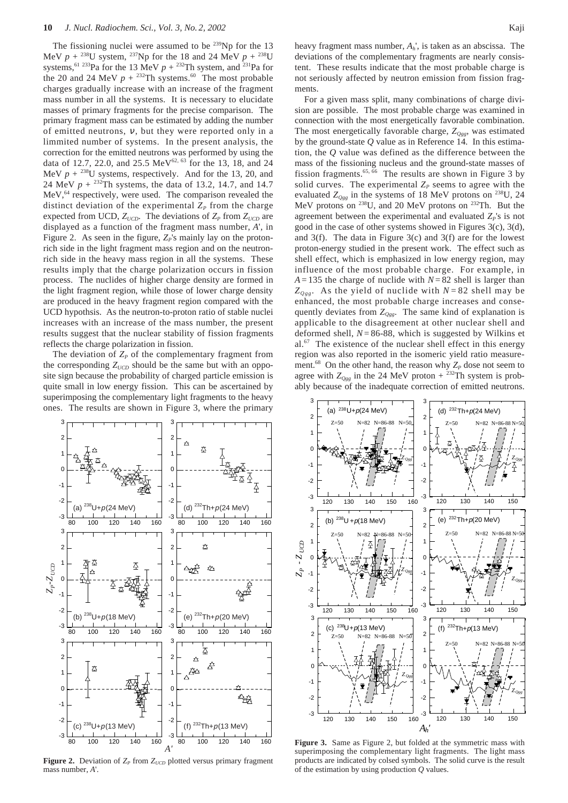The fissioning nuclei were assumed to be  $^{239}$ Np for the 13 MeV  $p + {}^{238}U$  system, <sup>237</sup>Np for the 18 and 24 MeV  $p + {}^{238}U$ systems,<sup>61 233</sup>Pa for the 13 MeV  $p + {}^{232}$ Th system, and <sup>231</sup>Pa for the 20 and 24 MeV  $p + {}^{232}Th$  systems.<sup>60</sup> The most probable charges gradually increase with an increase of the fragment mass number in all the systems. It is necessary to elucidate masses of primary fragments for the precise comparison. The primary fragment mass can be estimated by adding the number of emitted neutrons,  $v$ , but they were reported only in a limmited number of systems. In the present analysis, the correction for the emitted neutrons was performed by using the data of 12.7, 22.0, and 25.5 MeV<sup>62, 63</sup> for the 13, 18, and 24 MeV  $p + {}^{238}U$  systems, respectively. And for the 13, 20, and 24 MeV  $p + {}^{232}Th$  systems, the data of 13.2, 14.7, and 14.7 MeV,<sup>64</sup> respectively, were used. The comparison revealed the distinct deviation of the experimental  $Z_p$  from the charge expected from UCD,  $Z_{UCD}$ . The deviations of  $Z_P$  from  $Z_{UCD}$  are displayed as a function of the fragment mass number, *A*', in Figure 2. As seen in the figure,  $Z_P$ 's mainly lay on the protonrich side in the light fragment mass region and on the neutronrich side in the heavy mass region in all the systems. These results imply that the charge polarization occurs in fission process. The nuclides of higher charge density are formed in the light fragment region, while those of lower charge density are produced in the heavy fragment region compared with the UCD hypothsis. As the neutron-to-proton ratio of stable nuclei increases with an increase of the mass number, the present results suggest that the nuclear stability of fission fragments reflects the charge polarization in fission.

The deviation of  $Z_p$  of the complementary fragment from the corresponding  $Z_{UCD}$  should be the same but with an opposite sign because the probability of charged particle emission is quite small in low energy fission. This can be ascertained by superimposing the complementary light fragments to the heavy ones. The results are shown in Figure 3, where the primary



**Figure 2.** Deviation of  $Z_p$  from  $Z_{UCD}$  plotted versus primary fragment mass number, *A*'.

heavy fragment mass number, *Ah*', is taken as an abscissa. The deviations of the complementary fragments are nearly consistent. These results indicate that the most probable charge is not seriously affected by neutron emission from fission fragments.

For a given mass split, many combinations of charge division are possible. The most probable charge was examined in connection with the most energetically favorable combination. The most energetically favorable charge, *ZQgg*, was estimated by the ground-state *Q* value as in Reference 14. In this estimation, the *Q* value was defined as the difference between the mass of the fissioning nucleus and the ground-state masses of fission fragments.<sup>65, 66</sup> The results are shown in Figure 3 by solid curves. The experimental  $Z_p$  seems to agree with the evaluated  $Z_{Qgg}$  in the systems of 18 MeV protons on <sup>238</sup>U, 24 MeV protons on 238U, and 20 MeV protons on 232Th. But the agreement between the experimental and evaluated  $Z<sub>P</sub>$ 's is not good in the case of other systems showed in Figures 3(c), 3(d), and 3(f). The data in Figure 3(c) and 3(f) are for the lowest proton-energy studied in the present work. The effect such as shell effect, which is emphasized in low energy region, may influence of the most probable charge. For example, in  $A = 135$  the charge of nuclide with  $N = 82$  shell is larger than  $Z_{Ogg}$ . As the yield of nuclide with  $N = 82$  shell may be enhanced, the most probable charge increases and consequently deviates from  $Z_{Ogg}$ . The same kind of explanation is applicable to the disagreement at other nuclear shell and deformed shell, *N*= 86-88, which is suggested by Wilkins et al. $67$  The existence of the nuclear shell effect in this energy region was also reported in the isomeric yield ratio measurement.<sup>68</sup> On the other hand, the reason why  $Z_p$  dose not seem to agree with  $Z_{Qgg}$  in the 24 MeV proton +  $232$ Th system is probably because of the inadequate correction of emitted neutrons.



**Figure 3.** Same as Figure 2, but folded at the symmetric mass with superimposing the complementary light fragments. The light mass products are indicated by colsed symbols. The solid curve is the result of the estimation by using production *Q* values.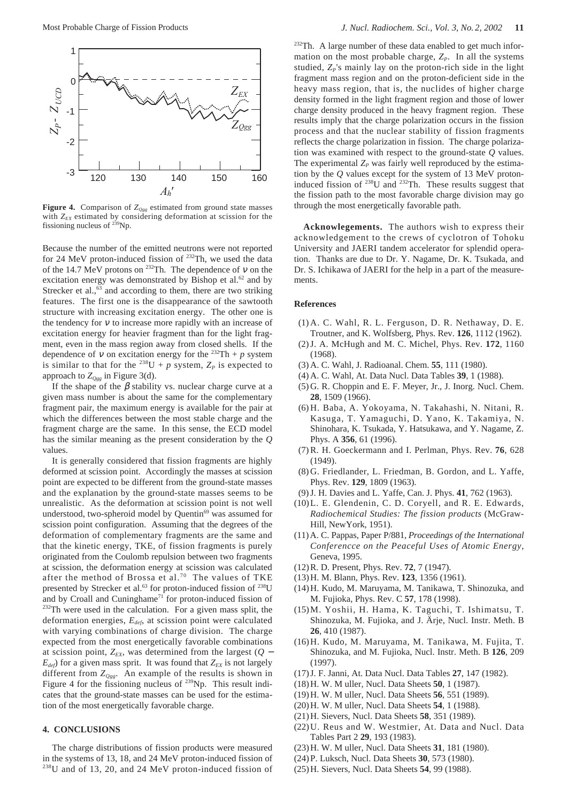

**Figure 4.** Comparison of  $Z_{Ogg}$  estimated from ground state masses with  $Z_{EX}$  estimated by considering deformation at scission for the fissioning nucleus of 239Np.

Because the number of the emitted neutrons were not reported for 24 MeV proton-induced fission of  $232$ Th, we used the data of the 14.7 MeV protons on <sup>232</sup>Th. The dependence of v on the excitation energy was demonstrated by Bishop et al. $62$  and by Strecker et al., $63$  and according to them, there are two striking features. The first one is the disappearance of the sawtooth structure with increasing excitation energy. The other one is the tendency for  $v$  to increase more rapidly with an increase of excitation energy for heavier fragment than for the light fragment, even in the mass region away from closed shells. If the dependence of v on excitation energy for the <sup>232</sup>Th + *p* system is similar to that for the <sup>238</sup>U + *p* system,  $Z_p$  is expected to approach to  $Z_{Ogg}$  in Figure 3(d).

If the shape of the  $\beta$  stability vs. nuclear charge curve at a given mass number is about the same for the complementary fragment pair, the maximum energy is available for the pair at which the differences between the most stable charge and the fragment charge are the same. In this sense, the ECD model has the similar meaning as the present consideration by the *Q* values.

It is generally considered that fission fragments are highly deformed at scission point. Accordingly the masses at scission point are expected to be different from the ground-state masses and the explanation by the ground-state masses seems to be unrealistic. As the deformation at scission point is not well understood, two-spheroid model by Quentin<sup>69</sup> was assumed for scission point configuration. Assuming that the degrees of the deformation of complementary fragments are the same and that the kinetic energy, TKE, of fission fragments is purely originated from the Coulomb repulsion between two fragments at scission, the deformation energy at scission was calculated after the method of Brossa et al.<sup>70</sup> The values of TKE presented by Strecker et al.<sup>63</sup> for proton-induced fission of <sup>238</sup>U and by Croall and Cuninghame<sup>71</sup> for proton-induced fission of <sup>232</sup>Th were used in the calculation. For a given mass split, the deformation energies, *Edef*, at scission point were calculated with varying combinations of charge division. The charge expected from the most energetically favorable combinations at scission point,  $Z_{EX}$ , was determined from the largest ( $Q$  −  $E_{def}$ ) for a given mass sprit. It was found that  $Z_{EX}$  is not largely different from  $Z_{Qgg}$ . An example of the results is shown in Figure 4 for the fissioning nucleus of <sup>239</sup>Np. This result indicates that the ground-state masses can be used for the estimation of the most energetically favorable charge.

## **4. CONCLUSIONS**

The charge distributions of fission products were measured in the systems of 13, 18, and 24 MeV proton-induced fission of 238U and of 13, 20, and 24 MeV proton-induced fission of

<sup>232</sup>Th. A large number of these data enabled to get much information on the most probable charge,  $Z_P$ . In all the systems studied,  $Z_p$ 's mainly lay on the proton-rich side in the light fragment mass region and on the proton-deficient side in the heavy mass region, that is, the nuclides of higher charge density formed in the light fragment region and those of lower charge density produced in the heavy fragment region. These results imply that the charge polarization occurs in the fission process and that the nuclear stability of fission fragments reflects the charge polarization in fission. The charge polarization was examined with respect to the ground-state *Q* values. The experimental  $Z_p$  was fairly well reproduced by the estimation by the *Q* values except for the system of 13 MeV protoninduced fission of  $^{238}$ U and  $^{232}$ Th. These results suggest that the fission path to the most favorable charge division may go through the most energetically favorable path.

**Acknowlegements.** The authors wish to express their acknowledgement to the crews of cyclotron of Tohoku University and JAERI tandem accelerator for splendid operation. Thanks are due to Dr. Y. Nagame, Dr. K. Tsukada, and Dr. S. Ichikawa of JAERI for the help in a part of the measurements.

#### **References**

- (1) A. C. Wahl, R. L. Ferguson, D. R. Nethaway, D. E. Troutner, and K. Wolfsberg, Phys. Rev. **126**, 1112 (1962).
- (2) J. A. McHugh and M. C. Michel, Phys. Rev. **172**, 1160 (1968).
- (3) A. C. Wahl, J. Radioanal. Chem. **55**, 111 (1980).
- (4) A. C. Wahl, At. Data Nucl. Data Tables **39**, 1 (1988).
- (5) G. R. Choppin and E. F. Meyer, Jr., J. Inorg. Nucl. Chem. **28**, 1509 (1966).
- (6) H. Baba, A. Yokoyama, N. Takahashi, N. Nitani, R. Kasuga, T. Yamaguchi, D. Yano, K. Takamiya, N. Shinohara, K. Tsukada, Y. Hatsukawa, and Y. Nagame, Z. Phys. A **356**, 61 (1996).
- (7) R. H. Goeckermann and I. Perlman, Phys. Rev. **76**, 628  $(1949)$
- (8) G. Friedlander, L. Friedman, B. Gordon, and L. Yaffe, Phys. Rev. **129**, 1809 (1963).
- (9) J. H. Davies and L. Yaffe, Can. J. Phys. **41**, 762 (1963).
- (10)L. E. Glendenin, C. D. Coryell, and R. E. Edwards, *Radiochemical Studies: The fission products* (McGraw-Hill, NewYork, 1951).
- (11)A. C. Pappas, Paper P/881, *Proceedings of the International Conferencce on the Peaceful Uses of Atomic Energy*, Geneva, 1995.
- (12)R. D. Present, Phys. Rev. **72**, 7 (1947).
- (13)H. M. Blann, Phys. Rev. **123**, 1356 (1961).
- (14)H. Kudo, M. Maruyama, M. Tanikawa, T. Shinozuka, and M. Fujioka, Phys. Rev. C **57**, 178 (1998).
- (15)M. Yoshii, H. Hama, K. Taguchi, T. Ishimatsu, T. Shinozuka, M. Fujioka, and J. Ärje, Nucl. Instr. Meth. B **26**, 410 (1987).
- (16)H. Kudo, M. Maruyama, M. Tanikawa, M. Fujita, T. Shinozuka, and M. Fujioka, Nucl. Instr. Meth. B **126**, 209 (1997).
- (17)J. F. Janni, At. Data Nucl. Data Tables **27**, 147 (1982).
- (18)H. W. M uller, Nucl. Data Sheets **50**, 1 (1987).
- (19)H. W. M uller, Nucl. Data Sheets **56**, 551 (1989).
- (20)H. W. M uller, Nucl. Data Sheets **54**, 1 (1988).
- (21)H. Sievers, Nucl. Data Sheets **58**, 351 (1989).
- (22)U. Reus and W. Westmier, At. Data and Nucl. Data Tables Part 2 **29**, 193 (1983).
- (23)H. W. M uller, Nucl. Data Sheets **31**, 181 (1980).
- (24)P. Luksch, Nucl. Data Sheets **30**, 573 (1980).
- (25)H. Sievers, Nucl. Data Sheets **54**, 99 (1988).